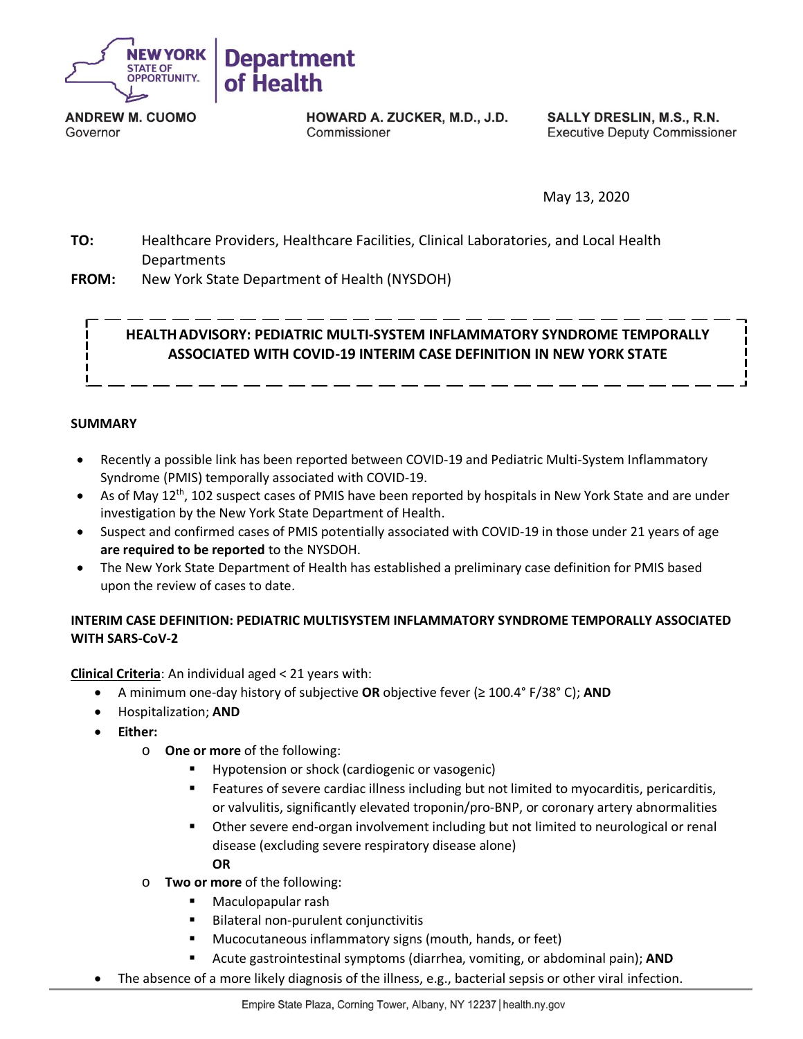

**ANDREW M. CUOMO** Governor

HOWARD A. ZUCKER, M.D., J.D. Commissioner

SALLY DRESLIN, M.S., R.N. **Executive Deputy Commissioner** 

May 13, 2020

**TO:** Healthcare Providers, Healthcare Facilities, Clinical Laboratories, and Local Health **Departments** 

**FROM:** New York State Department of Health (NYSDOH)

# **HEALTHADVISORY: PEDIATRIC MULTI-SYSTEM INFLAMMATORY SYNDROME TEMPORALLY ASSOCIATED WITH COVID-19 INTERIM CASE DEFINITION IN NEW YORK STATE**

#### **SUMMARY**

- Recently a possible link has been reported between COVID-19 and Pediatric Multi-System Inflammatory Syndrome (PMIS) temporally associated with COVID-19.
- As of May 12<sup>th</sup>, 102 suspect cases of PMIS have been reported by hospitals in New York State and are under investigation by the New York State Department of Health.
- Suspect and confirmed cases of PMIS potentially associated with COVID-19 in those under 21 years of age **are required to be reported** to the NYSDOH.
- The New York State Department of Health has established a preliminary case definition for PMIS based upon the review of cases to date.

### **INTERIM CASE DEFINITION: PEDIATRIC MULTISYSTEM INFLAMMATORY SYNDROME TEMPORALLY ASSOCIATED WITH SARS-CoV-2**

**Clinical Criteria**: An individual aged < 21 years with:

- A minimum one-day history of subjective **OR** objective fever (≥ 100.4° F/38° C); **AND**
- Hospitalization; **AND**
- **Either:**
	- o **One or more** of the following:
		- Hypotension or shock (cardiogenic or vasogenic)
		- Features of severe cardiac illness including but not limited to myocarditis, pericarditis, or valvulitis, significantly elevated troponin/pro-BNP, or coronary artery abnormalities
- **■** Other severe end-organ involvement including but not limited to neurological or renal disease (excluding severe respiratory disease alone) **OR** 
	- o **Two or more** of the following:
		- Maculopapular rash
		- Bilateral non-purulent conjunctivitis
		- Mucocutaneous inflammatory signs (mouth, hands, or feet)
		- Acute gastrointestinal symptoms (diarrhea, vomiting, or abdominal pain); **AND**
	- The absence of a more likely diagnosis of the illness, e.g., bacterial sepsis or other viral infection.